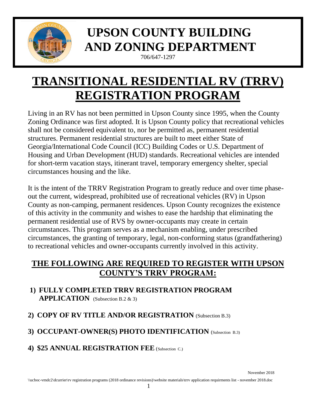

# **UPSON COUNTY BUILDING AND ZONING DEPARTMENT**

706/647-1297

## **TRANSITIONAL RESIDENTIAL RV (TRRV) REGISTRATION PROGRAM**

Living in an RV has not been permitted in Upson County since 1995, when the County Zoning Ordinance was first adopted. It is Upson County policy that recreational vehicles shall not be considered equivalent to, nor be permitted as, permanent residential structures. Permanent residential structures are built to meet either State of Georgia/International Code Council (ICC) Building Codes or U.S. Department of Housing and Urban Development (HUD) standards. Recreational vehicles are intended for short-term vacation stays, itinerant travel, temporary emergency shelter, special circumstances housing and the like.

It is the intent of the TRRV Registration Program to greatly reduce and over time phaseout the current, widespread, prohibited use of recreational vehicles (RV) in Upson County as non-camping, permanent residences. Upson County recognizes the existence of this activity in the community and wishes to ease the hardship that eliminating the permanent residential use of RVS by owner-occupants may create in certain circumstances. This program serves as a mechanism enabling, under prescribed circumstances, the granting of temporary, legal, non-conforming status (grandfathering) to recreational vehicles and owner-occupants currently involved in this activity.

#### **THE FOLLOWING ARE REQUIRED TO REGISTER WITH UPSON COUNTY'S TRRV PROGRAM:**

- **1) FULLY COMPLETED TRRV REGISTRATION PROGRAM APPLICATION** (Subsection B.2 & 3)
- **2) COPY OF RV TITLE AND/OR REGISTRATION** (Subsection B.3)
- **3) OCCUPANT-OWNER(S) PHOTO IDENTIFICATION** (Subsection B.3)
- **4) \$25 ANNUAL REGISTRATION FEE** (Subsection C.)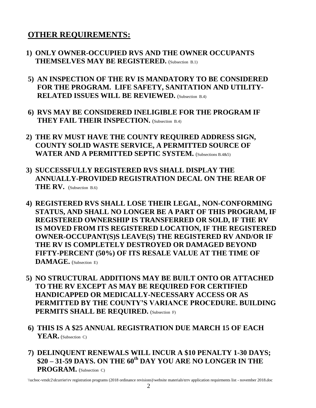#### **OTHER REQUIREMENTS:**

- **1) ONLY OWNER-OCCUPIED RVS AND THE OWNER OCCUPANTS THEMSELVES MAY BE REGISTERED.** (Subsection B.1)
- **5) AN INSPECTION OF THE RV IS MANDATORY TO BE CONSIDERED FOR THE PROGRAM. LIFE SAFETY, SANITATION AND UTILITY-RELATED ISSUES WILL BE REVIEWED.** (Subsection B.4)
- **6) RVS MAY BE CONSIDERED INELIGIBLE FOR THE PROGRAM IF THEY FAIL THEIR INSPECTION.** (Subsection B.4)
- **2) THE RV MUST HAVE THE COUNTY REQUIRED ADDRESS SIGN, COUNTY SOLID WASTE SERVICE, A PERMITTED SOURCE OF WATER AND A PERMITTED SEPTIC SYSTEM.** (Subsections B.4.&5)
- **3) SUCCESSFULLY REGISTERED RVS SHALL DISPLAY THE ANNUALLY-PROVIDED REGISTRATION DECAL ON THE REAR OF THE RV.** (Subsection B.6)
- **4) REGISTERED RVS SHALL LOSE THEIR LEGAL, NON-CONFORMING STATUS, AND SHALL NO LONGER BE A PART OF THIS PROGRAM, IF REGISTERED OWNERSHIP IS TRANSFERRED OR SOLD, IF THE RV IS MOVED FROM ITS REGISTERED LOCATION, IF THE REGISTERED OWNER-OCCUPANT(S)S LEAVE(S) THE REGISTERED RV AND/OR IF THE RV IS COMPLETELY DESTROYED OR DAMAGED BEYOND FIFTY-PERCENT (50%) OF ITS RESALE VALUE AT THE TIME OF DAMAGE.** (Subsection E)
- **5) NO STRUCTURAL ADDITIONS MAY BE BUILT ONTO OR ATTACHED TO THE RV EXCEPT AS MAY BE REQUIRED FOR CERTIFIED HANDICAPPED OR MEDICALLY-NECESSARY ACCESS OR AS PERMITTED BY THE COUNTY'S VARIANCE PROCEDURE. BUILDING PERMITS SHALL BE REQUIRED.** (Subsection F)
- **6) THIS IS A \$25 ANNUAL REGISTRATION DUE MARCH 15 OF EACH YEAR.** (Subsection C)
- **7) DELINQUENT RENEWALS WILL INCUR A \$10 PENALTY 1-30 DAYS; \$20 – 31-59 DAYS. ON THE 60th DAY YOU ARE NO LONGER IN THE PROGRAM.** (Subsection C)

\\ucboc-vmdc2\dcurrier\rv registration programs (2018 ordinance revisions)\website materials\trrv application requirments list - november 2018.doc